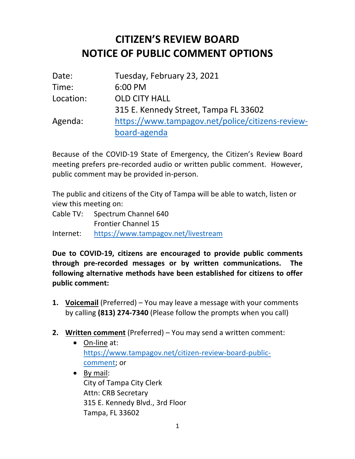## **CITIZEN'S REVIEW BOARD NOTICE OF PUBLIC COMMENT OPTIONS**

| Date:     | Tuesday, February 23, 2021                       |
|-----------|--------------------------------------------------|
| Time:     | 6:00 PM                                          |
| Location: | <b>OLD CITY HALL</b>                             |
|           | 315 E. Kennedy Street, Tampa FL 33602            |
| Agenda:   | https://www.tampagov.net/police/citizens-review- |
|           | board-agenda                                     |

 Because of the COVID-19 State of Emergency, the Citizen's Review Board meeting prefers pre-recorded audio or written public comment. However, public comment may be provided in-person.

 The public and citizens of the City of Tampa will be able to watch, listen or view this meeting on:

 Cable TV: Spectrum Channel 640 Frontier Channel 15

Internet: https://www.tampagov.net/livestream

 **Due to COVID-19, citizens are encouraged to provide public comments following alternative methods have been established for citizens to offer through pre-recorded messages or by written communications. The public comment:** 

- **1. Voicemail** (Preferred) You may leave a message with your comments by calling **(813) 274-7340** (Please follow the prompts when you call)
- **2. Written comment** (Preferred) You may send a written comment:
	- On-line at: https://www.tampagov.net/citizen-review-board-publiccomment; or
	- City of Tampa City Clerk 315 E. Kennedy Blvd., 3rd Floor • By mail: Attn: CRB Secretary Tampa, FL 33602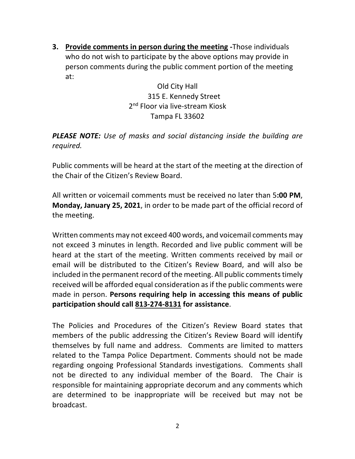**3. Provide comments in person during the meeting -**Those individuals who do not wish to participate by the above options may provide in person comments during the public comment portion of the meeting at:

> Old City Hall 315 E. Kennedy Street 2<sup>nd</sup> Floor via live-stream Kiosk<br>Tampa FL 33602

 *PLEASE NOTE: Use of masks and social distancing inside the building are required.* 

 Public comments will be heard at the start of the meeting at the direction of the Chair of the Citizen's Review Board.

 All written or voicemail comments must be received no later than 5**:00 PM**, **Monday, January 25, 2021**, in order to be made part of the official record of the meeting.

 Written comments may not exceed 400 words, and voicemail comments may not exceed 3 minutes in length. Recorded and live public comment will be heard at the start of the meeting. Written comments received by mail or email will be distributed to the Citizen's Review Board, and will also be included in the permanent record of the meeting. All public comments timely received will be afforded equal consideration as if the public comments were made in person. **Persons requiring help in accessing this means of public participation should call 813-274-8131 for assistance**.

 The Policies and Procedures of the Citizen's Review Board states that members of the public addressing the Citizen's Review Board will identify themselves by full name and address. Comments are limited to matters related to the Tampa Police Department. Comments should not be made regarding ongoing Professional Standards investigations. Comments shall not be directed to any individual member of the Board. The Chair is responsible for maintaining appropriate decorum and any comments which are determined to be inappropriate will be received but may not be broadcast. broadcast.<br>2<br>2